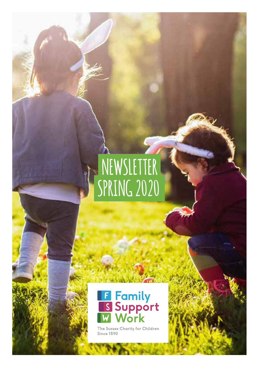### **NEWSLETTER SPRING 2020**



The Sussex Charity for Children<br>Since 1890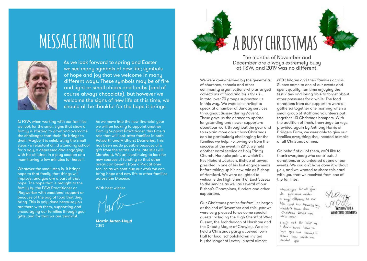### **MESSAGE FROM THE CEO**



As we look forward to spring and Easter we see many symbols of new life; symbols of hope and joy that we welcome in many different ways. These symbols may be of fire and light or small chicks and lambs (and of course always chocolate), but however we welcome the signs of new life at this time, we should all be thankful for the hope it brings.

At FSW, when working with our families we look for the small signs that show a family is starting to grow and overcome the challenges that their life brings to them. Maybe it is celebrating the small steps - a reluctant child attending school for a day, a depressed dad engaging with his children in a play session or a mum having a few minutes for herself.

Whatever the small step is, it brings hope to that family that things will improve, and you are a part of that hope. The hope that is brought to the family by the FSW Practitioner or Plauworker with emotional support or because of the bag of food that they bring. This is only done because you are there with them, supporting and encouraging our families through your gifts, and for that we are thankful.

As we move into the new financial year we will be looking to appoint another Family Support Practitioner, this time a role that will look after families in both Petworth and Midhurst Deaneries. This has been made possible because of a gift from the estate of the late Miss Jill Marchant. We are continuing to look for new sources of funding so that other areas can benefit from a Practitioner too, so as we continue our work we can bring hope and new life to other families across the Diocese.

With best wishes

**Martin Auton-Lloyd** CEO





The months of November and December are always extremely busy at FSW, and 2019 was no different.

We were overwhelmed by the generosity of churches, schools and other community organisations who arranged collections of food and toys for us – in total over 70 groups supported us in this way. We were also invited to speak at a number of Sunday services throughout Sussex during Advent. These gave us the chance to update longstanding and newer supporters about our work throughout the year and to explain more about how Christmas can be particularly challenging for the families we help. Following on from the success of the event in 2018, we held another carol service at Holy Trinity Church, Hurstpierpoint, at which Rt Rev Richard Jackson, Bishop of Lewes, presided in one of his last engagements before taking up his new role as Bishop of Hereford. We were delighted to welcome the High Sheriff of East Sussex to the service as well as several of our Bishop's Champions, funders and other supporters.

Our Christmas parties for families began at the end of November and this year we were very pleased to welcome special guests including the High Sheriff of West Sussex, the Archdeacon of Horsham and the Deputy Mayor of Crawley. We also held a Christmas party at Lewes Town Hall for local schoolchildren invited by the Mayor of Lewes. In total almost

600 children and their families across Sussex came to one of our events and spent quality, fun time enjoying the festivities and being able to forget about other pressures for a while. The food donations from our supporters were all gathered together one morning when a small group of staff and volunteers put together 110 Christmas hampers. With the addition of fresh, free-range turkeys, provided again by Anthony Harris of Bridgers Farm, we were able to give our families everything they needed to make a full Christmas dinner.

On behalf of all of them, we'd like to thank everybody who contributed donations, or volunteered at one of our events. We couldn't have done it without you, and we wanted to share this card with you that we received from one of the families:

theme you for all you do you have neder is hope difference to our life and tan hospity a l couldn't heure deux Christians what you this year.

I can't cut for help as I don't know how to but you just seemed to knew here much me needed you

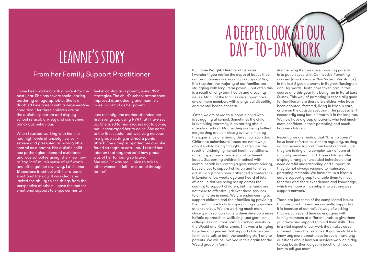### **leanne's story**

### From her Family Support Practitioner By Elaine Waight, Director of Services

I have been working with a parent for the past year. She has severe social anxiety bordering on agoraphobia. She is a disabled lone parent with a degenerative condition. Her three children are on the autistic spectrum and display school refusal, anxiety and sometimes obnoxious behaviour.

When I started working with her she had high levels of anxiety, low selfesteem and presented as having little control as a parent. Her autistic child has pathological demand avoidance and was school refusing; she knew how to 'tap into' mum's sense of self-worth and often got her own way. I did some 1:1 sessions in school with her around emotional literacy. It was clear she lacked the ability to see things from the perspective of others. I gave the mother emotional support to empower her to

feel in control as a parent, using NVR strategies. The child's school attendance improved dramatically and mum felt more in control as her parent.

Just recently, the mother attended her first ever group using NVR that I have set up. She tried to find excuses not to come, but I encouraged her to do so. She came to the first session but was very nervous in a group setting and had a panic attack. The group supported her and she found strength to carry on. I texted her later on that day and said how proud I was of her for being so brave. She said "It was really nice to talk to other women. It felt like a breakthrough for me".

## **a deeper look at our day-to-day work**

I wonder if you realise the depth of issues that our practitioners are working to support? Yes, it is true that the majority of our families are struggling with long- term poverty, but often this is a result of long- term health and disability issues. Many of the families we support have one or more members with a physical disability or a mental health concern.

 Often we are asked to support a child who is struggling at school. Sometimes the child is exhibiting extremely high anxiety about attending school. Maybe they are being bullied; maybe they are completely overwhelmed by the experience of entering the school each day. Children's behavioural issues are not always about a child being "naughty"; often it is the result of underlying mental health conditions, autistic spectrum disorders or attachment issues. Supporting children in school with mental health is currently a government priority, but services to support children and families are still abysmally poor. I attended a conference in London a few weeks ago and heard of lots of local initiatives being set up across the country to support children, but the funds are not there to effectively deliver these services to all children in need. We are endeavouring to support children and their families by providing them with more tools to cope and by signposting other services. We are working much more closely with schools to help them develop a more holistic approach to wellbeing. Last year some colleagues and I took part in 2 school events in the Weald and Rother areas. This was a bringing together of agencies that support children and families to talk to both the teaching staff and to parents. We will be involved in this again for the Weald group in April.

Another way that we are supporting parents is to put on specialist Connective Parenting courses (also known as Non Violent Resistance). In the last 2 years parents in Bognor, Rustington and Haywards Heath have taken part in this course and this year it is being run in Rural East Sussex. This way of parenting is especially good for families where there are children who have been adopted, fostered, living in kinship care, or are on the autistic spectrum. The process isn't necessarily easy but it is worth it in the long run. We now have a group of parents who feel much more confident in their parenting and much happier children.

Recently we are finding that "kinship carers" have been referred to us more regularly, as they do not receive support from local authority, yet they are taking on a complex task of care of a family member's child. These children often display a range of unsettled behaviours that need careful understanding and support, as they do not always respond to mainstream parenting methods. We have set up a kinship carers support group to enable them to meet together and share experiences and knowledge, which we hope will develop into a strong peer support network.

These are just some of the complicated issues that our practitioners are currently supporting. It is because of our holistic way of working that we can spend time on engaging with family members at different levels to give them guidance and support to build their skills. This is a vital aspect of our work that makes us so different from other services. If you would like to know any more about these issues or have any questions about how our services work on a dayto-day basis then do get in touch and I would love to tell you more.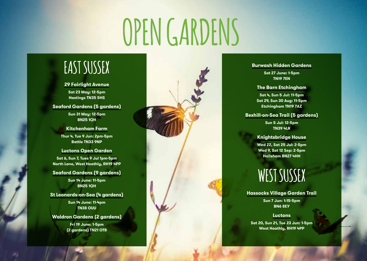# **OPEN GARDENS**

### **EAST SUSSEX**

#### **29 Fairlight Avenue**

**Sat 23 May: 12-5pm Hastings TN35 5HS**

### **Seaford Gardens (5 gardens)**

**Sun 31 May: 12-5pm BN25 1QH**

**Kitchenham Farm Thur 4, Tue 9 Jun: 2pm-5pm Battle TN33 9NP**

#### **Luctons Open Garden**

**Sat 6, Sun 7, Tues 9 Jul 1pm-5pm North Lane, West Hoathly, RH19 4PP**

**Seaford Gardens (9 gardens) Sun 14 June: 11-5pm BN25 1QH**

**St Leonards-on-Sea (4 gardens)**

**Sun 14 June: 11-4pm TN38 OUU**

**Waldron Gardens (2 gardens)**

**Fri 19 June: 1-5pm (2 gardens) TN21 OTB**



#### **Burwash Hidden Gardens**

**Sat 27 June: 1-5pm TN19 7EN**

#### **The Barn Etchingham**

**Sat 4, Sun 5 Jul: 11-5pm Sat 29, Sun 30 Aug: 11-5pm Etchingham TN19 7AZ**

### **Bexhill-on-Sea Trail (5 gardens)**

**Sun 5 Jul: 12-5pm TN39 4LR**

#### **Knightsbridge House**

**Wed 22, Sat 25 Jul: 2-5pm Wed 9, Sat 12 Sep: 2-5pm Hailsham BN27 4HH**

### **WEST SUSSEX**

### **Hassocks Village Garden Trail**

**Sun 7 Jun: 1:15-5pm BN6 8EY**

**Luctons**

**Sat 20, Sun 21, Tue 23 Jun: 1-5pm West Hoathly, RH19 4PP**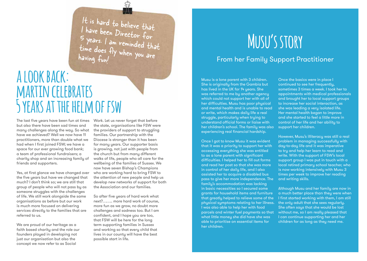It is hard to believe that I have been Director for 5 years. I am reminded that time does fly when you are having fun!

### **a look back: martin celebrates 5 years at the helm of fsw**

The last five years have been fun at times but also there have been sad times and many challenges along the way. So what have we achieved? Well we now have 11 practitioners, more than double what we had when I first joined FSW; we have a space for our ever growing food bank; a team of professional fundraisers; a charity shop and an increasing family of friends and supporters.

Yes, at first glance we have changed over the five years but have we changed that much? I don't think so; we are still that group of people who will not pass by as someone struggles with the challenges of life. We still work alongside the same organisations as before but our work is much more focused on delivering services directly to the families that are referred to us.

We are proud of our heritage as a faith based charity and the role our founders played in developing not just our organisation but also the concept we now refer to as Social

Work. Let us never forget that before the state, organisations like FSW were the providers of support to struggling families. Our partnership with the Diocese is stronger than it has been for many years. Our supporter basis is growing, not just with people from the church but from many different walks of life, people who all care for the wellbeing of the families of Sussex. We now have seven Bishop's Champions who are working hard to bring FSW to the attention of new people and help us develop new networks of support for both the Association and our families.

So after five years of hard work what next?…….. more hard work of course, more fun as we grow, no doubt more challenges and sadness too. But I am confident, and I hope you are too, that FSW will be here for the long term supporting families in Sussex and working so that every child that lives in our county will have the best possible start in life.

## **Musu's story**

### From her Family Support Practitioner

Musu is a lone parent with 3 children. She is originally from the Gambia but has lived in the UK for 14 years. She was referred to me by another agency which could not support her with all of her difficulties. Musu has poor physical and mental health and is unable to read or write, which makes daily life a real struggle, particularly when trying to understand official forms or liaise with her children's school. The family was also experiencing real financial hardship.

Once I got to know Musu it was evident that it was a priority to support her with accessing everything she was entitled to as a lone parent with significant difficulties. I helped her to fill out forms and read her post so that she was more in control of her daily life, and I also assisted her to acquire a disabled bus pass to give her more independence. The family's accommodation was lacking in basic necessities so I secured some grants for household items and furniture that greatly helped to relieve some of the physical symptoms relating to her illness. I was also able to help her with food parcels and winter fuel payments so that what little money she did have she was able to prioritise on essential items for her children.

Once the basics were in place I continued to see her frequently, sometimes 3 times a week. I took her to appointments with medical professionals and brought her to local support groups to increase her social interaction, as she was leading a very isolated life. Her mental health began to improve and she started to feel a little more in control of her life and her ability to support her children.

However, Musu's illiteracy was still a real problem in managing successfully with day-to-day life and it was imperative to try and help her learn to read and write. With the support of FSW's local support group I was put in touch with a local retired primary school teacher, who is now working intensively with Musu 3 times per week to improve her reading and writing skills.

Although Musu and her family are now in a much better place than they were when I first started working with them, I am still the only adult that she sees regularly. She often says that she would be lost without me, so I am really pleased that I can continue supporting her and her children for as long as they need me.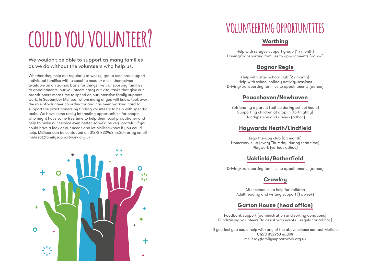# **could you volunteer? volunteering opportunities**

We wouldn't be able to support as many families as we do without the volunteers who help us.

Whether they help out regularly at weekly group sessions, support individual families with a specific need or make themselves available on an ad-hoc basis for things like transporting families to appointments, our volunteers carry out vital tasks that give our practitioners more time to spend on our intensive family support work. In September Melissa, whom many of you will know, took over the role of volunteer co-ordinator and has been working hard to support the practitioners by finding volunteers to help with specific tasks. We have some really interesting opportunities for people who might have some free time to help their local practitioner and help to make our service even better, so we'd be very grateful if you could have a look at our needs and let Melissa know if you could help. Melissa can be contacted on 01273 832963 ex.304 or by email melissa@familysupportwork.org.uk



### **Worthing**

Help with refugee support group (1 x month) Driving/transporting families to appointments (adhoc)

### **Bognor Regis**

Help with after school club (2 x month) Help with school holiday activity sessions Driving/transporting families to appointments (adhoc)

### **Peacehaven/Newhaven**

Befriending a parent (adhoc during school hours) Supporting children at drop in (fortnightly) Handyperson and drivers (adhoc)

### **Haywards Heath/Lindfield**

Lego therapy club (2 x month) Homework club (every Thursday during term time) Playwork (various adhoc)

### **Uckfield/Rotherfield**

Driving/transporting families to appointments (adhoc)

### **Crawley**

After school club help for children Adult reading and writing support (1 x week)

### **Garton House (head office)**

Foodbank support (administration and sorting donations) Fundraising volunteers (to assist with events – regular or ad-hoc)

If you feel you could help with any of the above please contact Melissa 01273 832963 ex.304 melissa@familysupportwork.org.uk